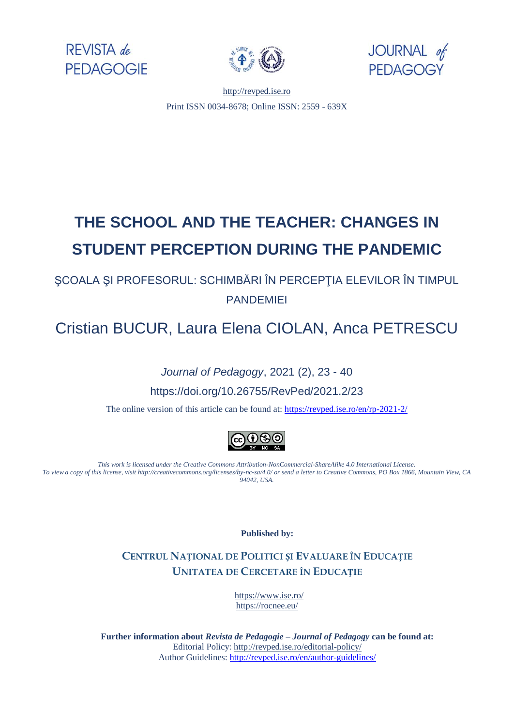





[http://revped.ise.ro](http://revped.ise.ro/) Print ISSN 0034-8678; Online ISSN: 2559 - 639X

# **THE SCHOOL AND THE TEACHER: CHANGES IN STUDENT PERCEPTION DURING THE PANDEMIC**

ŞCOALA ŞI PROFESORUL: SCHIMBĂRI ÎN PERCEPŢIA ELEVILOR ÎN TIMPUL PANDEMIEI

Cristian BUCUR, Laura Elena CIOLAN, Anca PETRESCU

*Journal of Pedagogy*, 2021 (2), 23 - 40 https://doi.org/10.26755/RevPed/2021.2/23

The online version of this article can be found at[: https://revped.ise.ro/en/rp-2021-2/](https://revped.ise.ro/en/rp-2021-2/)



*This work is licensed under the Creative Commons Attribution-NonCommercial-ShareAlike 4.0 International License. To view a copy of this license, visit http://creativecommons.org/licenses/by-nc-sa/4.0/ or send a letter to Creative Commons, PO Box 1866, Mountain View, CA 94042, USA.* 

**Published by:** 

**CENTRUL NAȚIONAL DE P[OLITICI](http://www.ise.ro/) ȘI EVALUARE ÎN EDUCAȚIE UNITATEA DE CERCETARE ÎN EDUCAȚIE**

> https[://www.ise.ro/](http://revped.ise.ro/editorial-policy/) [https://rocnee.eu/](http://revped.ise.ro/the-writer-guide-2/)

**Further information about** *Revista de Pedagogie – Journal of Pedagogy* **can be found at:**  Editorial Policy: http://revped.ise.ro/editorial-policy/ Author Guidelines: http://revped.ise.ro/en/author-guidelines/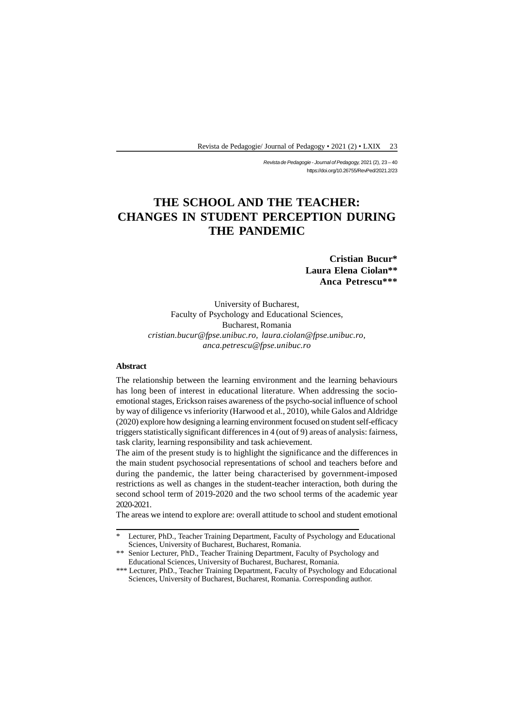*Revista de Pedagogie - Journal of Pedagogy,* 2021 (2), 23 – 40 https://doi.org/10.26755/RevPed/2021.2/23

# **THE SCHOOL AND THE TEACHER: CHANGES IN STUDENT PERCEPTION DURING THE PANDEMIC**

**Cristian Bucur\* Laura Elena Ciolan\*\* Anca Petrescu\*\*\***

University of Bucharest, Faculty of Psychology and Educational Sciences, Bucharest, Romania *cristian.bucur@fpse.unibuc.ro, laura.ciolan@fpse.unibuc.ro, anca.petrescu@fpse.unibuc.ro*

#### **Abstract**

The relationship between the learning environment and the learning behaviours has long been of interest in educational literature. When addressing the socioemotional stages, Erickson raises awareness of the psycho-social influence of school by way of diligence vs inferiority (Harwood et al., 2010), while Galos and Aldridge (2020) explore how designing a learning environment focused on student self-efficacy triggers statistically significant differences in 4 (out of 9) areas of analysis: fairness, task clarity, learning responsibility and task achievement.

The aim of the present study is to highlight the significance and the differences in the main student psychosocial representations of school and teachers before and during the pandemic, the latter being characterised by government-imposed restrictions as well as changes in the student-teacher interaction, both during the second school term of 2019-2020 and the two school terms of the academic year 2020-2021.

The areas we intend to explore are: overall attitude to school and student emotional

<sup>\*</sup> Lecturer, PhD., Teacher Training Department, Faculty of Psychology and Educational Sciences, University of Bucharest, Bucharest, Romania.

<sup>\*\*</sup> Senior Lecturer, PhD., Teacher Training Department, Faculty of Psychology and Educational Sciences, University of Bucharest, Bucharest, Romania.

<sup>\*\*\*</sup> Lecturer, PhD., Teacher Training Department, Faculty of Psychology and Educational Sciences, University of Bucharest, Bucharest, Romania. Corresponding author.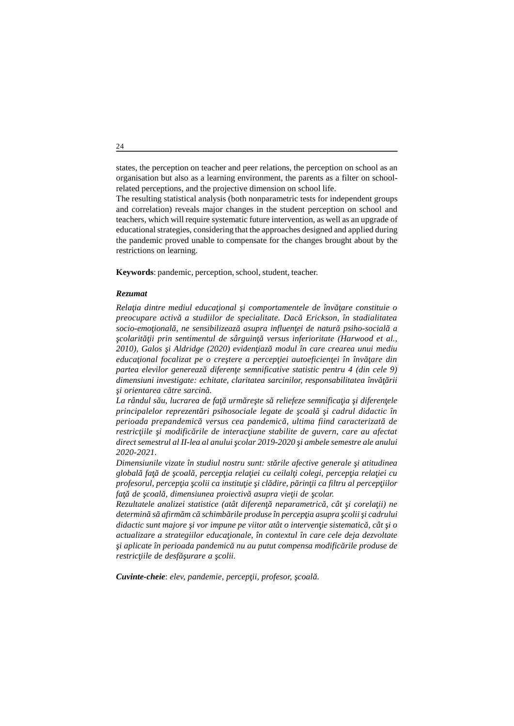states, the perception on teacher and peer relations, the perception on school as an organisation but also as a learning environment, the parents as a filter on schoolrelated perceptions, and the projective dimension on school life.

The resulting statistical analysis (both nonparametric tests for independent groups and correlation) reveals major changes in the student perception on school and teachers, which will require systematic future intervention, as well as an upgrade of educational strategies, considering that the approaches designed and applied during the pandemic proved unable to compensate for the changes brought about by the restrictions on learning.

**Keywords**: pandemic, perception, school, student, teacher.

#### *Rezumat*

*Rela ia dintre mediul educa ional i comportamentele de înv are constituie o preocupare activă a studiilor de specialitate. Dacă Erickson, în stadialitatea socio-emo ional*, ne sensibilizeaz asupra influen ei de natur psiho-social a *colarit ii prin sentimentul de sârguin versus inferioritate (Harwood et al., 2010), Galos şi Aldridge (2020) evidenţiază modul în care crearea unui mediu* educa *ional focalizat pe o cre tere a percep iei autoeficien ei în înv are din partea elevilor genereaz diferen e semnificative statistic pentru 4 (din cele 9) dimensiuni investigate: echitate, claritatea sarcinilor, responsabilitatea înv*ii *i* orientarea c tre sarcin.

La rândul s u, lucrarea de fa urm re te s reliefeze semnifica ia *i diferen ele principalelor reprezent ri psihosociale legate de coal i cadrul didactic în perioada prepandemică versus cea pandemică, ultima fiind caracterizată de* restric *iile i modific rile de interac iune stabilite de guvern, care au afectat direct semestrul al II-lea al anului şcolar 2019-2020 şi ambele semestre ale anului 2020-2021.*

*Dimensiunile vizate în studiul nostru sunt: st rile afective generale i atitudinea globală faţă de şcoală, percepţia relaţiei cu ceilalţi colegi, percepţia relaţiei cu profesorul, percep ia colii ca institu ie i cl dire, p rin ii ca filtru al percep iilor faţă de şcoală, dimensiunea proiectivă asupra vieţii de şcolar.*

*Rezultatele analizei statistice (atât diferen neparametric, cât i corela ii) ne determin s afirm m c schimb rile produse în percep ia asupra colii i cadrului didactic sunt majore i vor impune pe viitor atât o interven ie sistematic, cât i o actualizare a strategiilor educa ionale, în contextul în care cele deja dezvoltate i aplicate în perioada pandemic* nu au putut compensa modific rile produse de *restric iile de desf* urare a colii.

*Cuvinte-cheie: elev, pandemie, percep ii, profesor, coal.*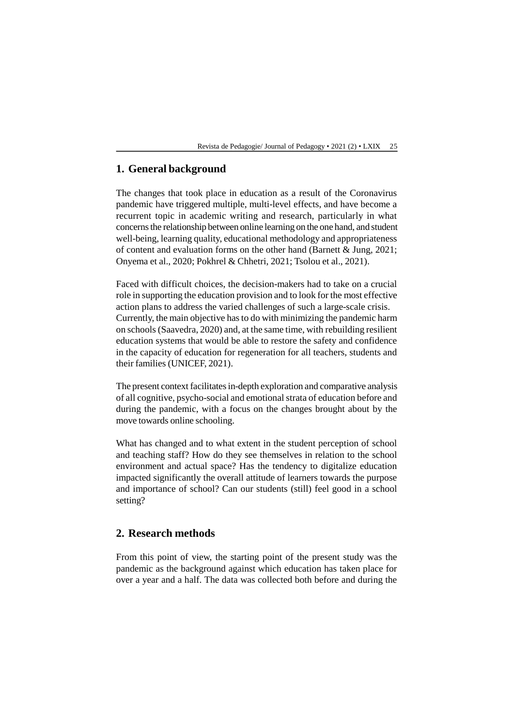## **1. General background**

The changes that took place in education as a result of the Coronavirus pandemic have triggered multiple, multi-level effects, and have become a recurrent topic in academic writing and research, particularly in what concerns the relationship between online learning on the one hand, and student well-being, learning quality, educational methodology and appropriateness of content and evaluation forms on the other hand (Barnett & Jung, 2021; Onyema et al., 2020; Pokhrel & Chhetri, 2021; Tsolou et al., 2021).

Faced with difficult choices, the decision-makers had to take on a crucial role in supporting the education provision and to look for the most effective action plans to address the varied challenges of such a large-scale crisis. Currently, the main objective has to do with minimizing the pandemic harm on schools (Saavedra, 2020) and, at the same time, with rebuilding resilient education systems that would be able to restore the safety and confidence in the capacity of education for regeneration for all teachers, students and their families (UNICEF, 2021).

The present context facilitates in-depth exploration and comparative analysis of all cognitive, psycho-social and emotional strata of education before and during the pandemic, with a focus on the changes brought about by the move towards online schooling.

What has changed and to what extent in the student perception of school and teaching staff? How do they see themselves in relation to the school environment and actual space? Has the tendency to digitalize education impacted significantly the overall attitude of learners towards the purpose and importance of school? Can our students (still) feel good in a school setting?

## **2. Research methods**

From this point of view, the starting point of the present study was the pandemic as the background against which education has taken place for over a year and a half. The data was collected both before and during the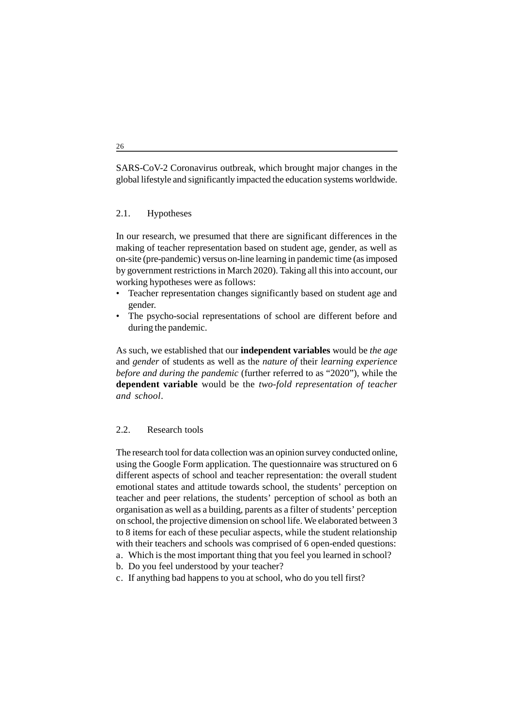SARS-CoV-2 Coronavirus outbreak, which brought major changes in the global lifestyle and significantly impacted the education systems worldwide.

#### 2.1. Hypotheses

In our research, we presumed that there are significant differences in the making of teacher representation based on student age, gender, as well as on-site (pre-pandemic) versus on-line learning in pandemic time (as imposed by government restrictions in March 2020). Taking all this into account, our working hypotheses were as follows:

- Teacher representation changes significantly based on student age and gender.
- The psycho-social representations of school are different before and during the pandemic.

As such, we established that our **independent variables** would be *the age* and *gender* of students as well as the *nature of* their *learning experience before and during the pandemic* (further referred to as "2020"), while the **dependent variable** would be the *two-fold representation of teacher and school*.

#### 2.2. Research tools

The research tool for data collection was an opinion survey conducted online, using the Google Form application. The questionnaire was structured on 6 different aspects of school and teacher representation: the overall student emotional states and attitude towards school, the students' perception on teacher and peer relations, the students' perception of school as both an organisation as well as a building, parents as a filter of students' perception on school, the projective dimension on school life. We elaborated between 3 to 8 items for each of these peculiar aspects, while the student relationship with their teachers and schools was comprised of 6 open-ended questions:

- a. Which is the most important thing that you feel you learned in school?
- b. Do you feel understood by your teacher?
- c. If anything bad happens to you at school, who do you tell first?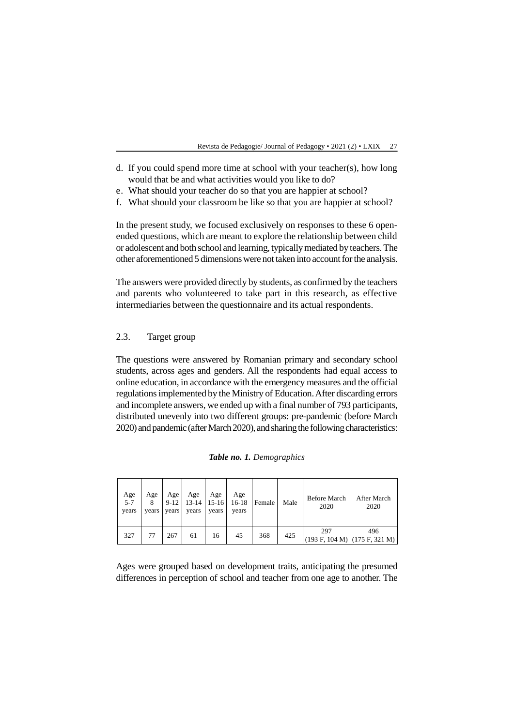- d. If you could spend more time at school with your teacher(s), how long would that be and what activities would you like to do?
- e. What should your teacher do so that you are happier at school?
- f. What should your classroom be like so that you are happier at school?

In the present study, we focused exclusively on responses to these 6 openended questions, which are meant to explore the relationship between child or adolescent and both school and learning, typically mediated by teachers. The other aforementioned 5 dimensions were not taken into account for the analysis.

The answers were provided directly by students, as confirmed by the teachers and parents who volunteered to take part in this research, as effective intermediaries between the questionnaire and its actual respondents.

#### 2.3. Target group

The questions were answered by Romanian primary and secondary school students, across ages and genders. All the respondents had equal access to online education, in accordance with the emergency measures and the official regulations implemented by the Ministry of Education. After discarding errors and incomplete answers, we ended up with a final number of 793 participants, distributed unevenly into two different groups: pre-pandemic (before March 2020) and pandemic (after March 2020), and sharing the following characteristics:

| Age<br>$5 - 7$<br>years | Age<br>years | Age 1<br>$9-12$<br>years | Age<br>years | Age<br>$13-14$   15-16<br>years | Age<br>16-18<br>years | Female | Male | <b>Before March</b><br>2020 | After March<br>2020                    |
|-------------------------|--------------|--------------------------|--------------|---------------------------------|-----------------------|--------|------|-----------------------------|----------------------------------------|
| 327                     | 77           | 267                      | 61           | 16                              | 45                    | 368    | 425  | 297                         | 496<br>$(193 F, 104 M)$ (175 F, 321 M) |

Ages were grouped based on development traits, anticipating the presumed differences in perception of school and teacher from one age to another. The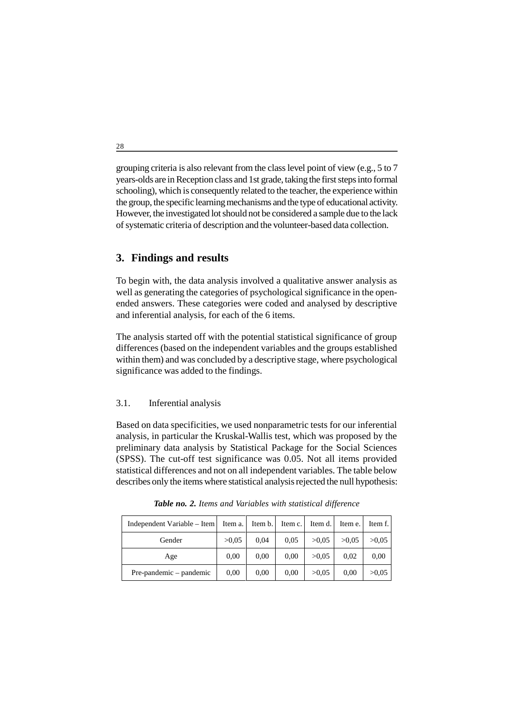grouping criteria is also relevant from the class level point of view (e.g., 5 to 7 years-olds are in Reception class and 1st grade, taking the first steps into formal schooling), which is consequently related to the teacher, the experience within the group, the specific learning mechanisms and the type of educational activity. However, the investigated lot should not be considered a sample due to the lack of systematic criteria of description and the volunteer-based data collection.

# **3. Findings and results**

To begin with, the data analysis involved a qualitative answer analysis as well as generating the categories of psychological significance in the openended answers. These categories were coded and analysed by descriptive and inferential analysis, for each of the 6 items.

The analysis started off with the potential statistical significance of group differences (based on the independent variables and the groups established within them) and was concluded by a descriptive stage, where psychological significance was added to the findings.

## 3.1. Inferential analysis

Based on data specificities, we used nonparametric tests for our inferential analysis, in particular the Kruskal-Wallis test, which was proposed by the preliminary data analysis by Statistical Package for the Social Sciences (SPSS). The cut-off test significance was 0.05. Not all items provided statistical differences and not on all independent variables. The table below describes only the items where statistical analysis rejected the null hypothesis:

| Independent Variable – Item | Item a. | Item b. | Item c. | Item d. | Item e. | Item f. |
|-----------------------------|---------|---------|---------|---------|---------|---------|
| Gender                      | >0.05   | 0.04    | 0.05    | >0.05   | >0.05   | >0.05   |
| Age                         | 0.00    | 0,00    | 0,00    | >0.05   | 0.02    | 0.00    |
| Pre-pandemic – pandemic     | 0.00    | 0.00    | 0.00    | >0.05   | 0.00    | >0.05   |

*Table no. 2. Items and Variables with statistical difference*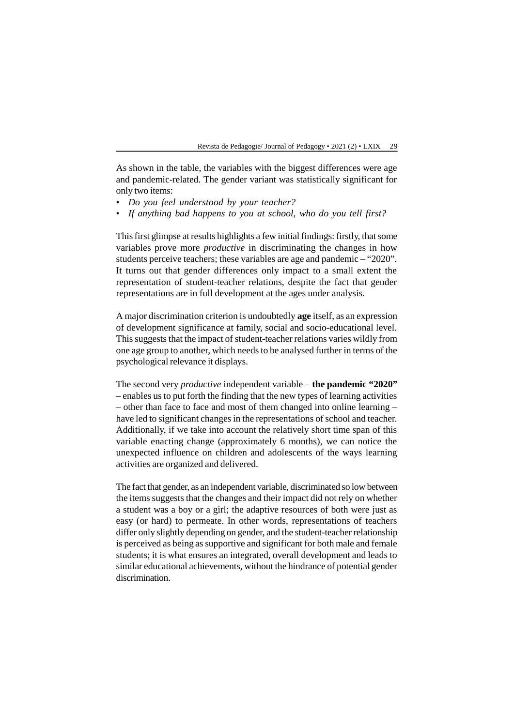As shown in the table, the variables with the biggest differences were age and pandemic-related. The gender variant was statistically significant for only two items:

- *Do you feel understood by your teacher?*
- *If anything bad happens to you at school, who do you tell first?*

This first glimpse at results highlights a few initial findings: firstly, that some variables prove more *productive* in discriminating the changes in how students perceive teachers; these variables are age and pandemic – "2020". It turns out that gender differences only impact to a small extent the representation of student-teacher relations, despite the fact that gender representations are in full development at the ages under analysis.

A major discrimination criterion is undoubtedly **age** itself, as an expression of development significance at family, social and socio-educational level. This suggests that the impact of student-teacher relations varies wildly from one age group to another, which needs to be analysed further in terms of the psychological relevance it displays.

The second very *productive* independent variable – **the pandemic "2020"** – enables us to put forth the finding that the new types of learning activities – other than face to face and most of them changed into online learning – have led to significant changes in the representations of school and teacher. Additionally, if we take into account the relatively short time span of this variable enacting change (approximately 6 months), we can notice the unexpected influence on children and adolescents of the ways learning activities are organized and delivered.

The fact that gender, as an independent variable, discriminated so low between the items suggests that the changes and their impact did not rely on whether a student was a boy or a girl; the adaptive resources of both were just as easy (or hard) to permeate. In other words, representations of teachers differ only slightly depending on gender, and the student-teacher relationship is perceived as being as supportive and significant for both male and female students; it is what ensures an integrated, overall development and leads to similar educational achievements, without the hindrance of potential gender discrimination.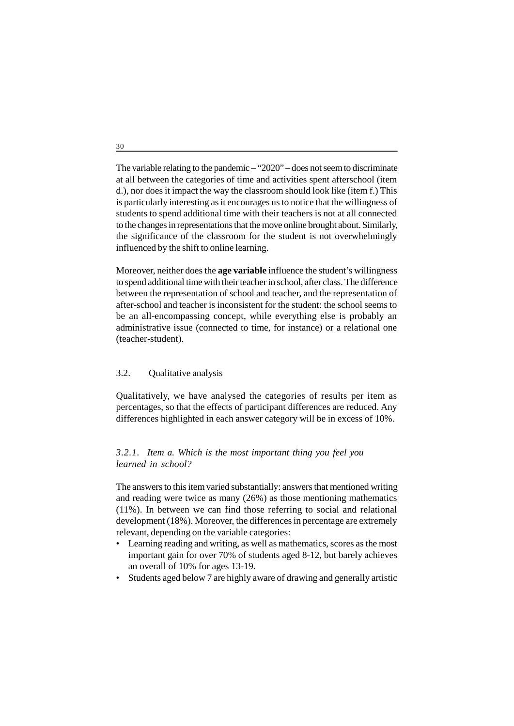The variable relating to the pandemic – "2020" – does not seem to discriminate at all between the categories of time and activities spent afterschool (item d.), nor does it impact the way the classroom should look like (item f.) This is particularly interesting as it encourages us to notice that the willingness of students to spend additional time with their teachers is not at all connected to the changes in representations that the move online brought about. Similarly, the significance of the classroom for the student is not overwhelmingly influenced by the shift to online learning.

Moreover, neither does the **age variable** influence the student's willingness to spend additional time with their teacher in school, after class. The difference between the representation of school and teacher, and the representation of after-school and teacher is inconsistent for the student: the school seems to be an all-encompassing concept, while everything else is probably an administrative issue (connected to time, for instance) or a relational one (teacher-student).

## 3.2. Qualitative analysis

Qualitatively, we have analysed the categories of results per item as percentages, so that the effects of participant differences are reduced. Any differences highlighted in each answer category will be in excess of 10%.

### *3.2.1. Item a. Which is the most important thing you feel you learned in school?*

The answers to this item varied substantially: answers that mentioned writing and reading were twice as many (26%) as those mentioning mathematics (11%). In between we can find those referring to social and relational development (18%). Moreover, the differences in percentage are extremely relevant, depending on the variable categories:

- Learning reading and writing, as well as mathematics, scores as the most important gain for over 70% of students aged 8-12, but barely achieves an overall of 10% for ages 13-19.
- Students aged below 7 are highly aware of drawing and generally artistic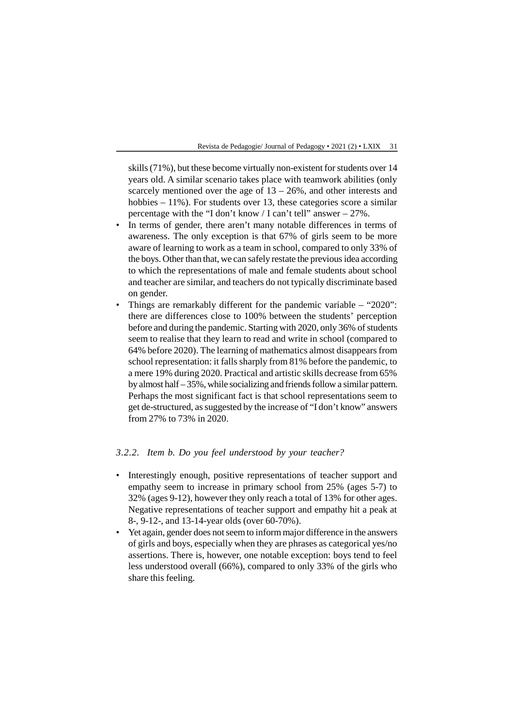skills (71%), but these become virtually non-existent for students over 14 years old. A similar scenario takes place with teamwork abilities (only scarcely mentioned over the age of 13 – 26%, and other interests and hobbies – 11%). For students over 13, these categories score a similar percentage with the "I don't know / I can't tell" answer – 27%.

- In terms of gender, there aren't many notable differences in terms of awareness. The only exception is that 67% of girls seem to be more aware of learning to work as a team in school, compared to only 33% of the boys. Other than that, we can safely restate the previous idea according to which the representations of male and female students about school and teacher are similar, and teachers do not typically discriminate based on gender.
- Things are remarkably different for the pandemic variable "2020": there are differences close to 100% between the students' perception before and during the pandemic. Starting with 2020, only 36% of students seem to realise that they learn to read and write in school (compared to 64% before 2020). The learning of mathematics almost disappears from school representation: it falls sharply from 81% before the pandemic, to a mere 19% during 2020. Practical and artistic skills decrease from 65% by almost half – 35%, while socializing and friends follow a similar pattern. Perhaps the most significant fact is that school representations seem to get de-structured, as suggested by the increase of "I don't know" answers from 27% to 73% in 2020.

#### *3.2.2. Item b. Do you feel understood by your teacher?*

- Interestingly enough, positive representations of teacher support and empathy seem to increase in primary school from 25% (ages 5-7) to 32% (ages 9-12), however they only reach a total of 13% for other ages. Negative representations of teacher support and empathy hit a peak at 8-, 9-12-, and 13-14-year olds (over 60-70%).
- Yet again, gender does not seem to inform major difference in the answers of girls and boys, especially when they are phrases as categorical yes/no assertions. There is, however, one notable exception: boys tend to feel less understood overall (66%), compared to only 33% of the girls who share this feeling.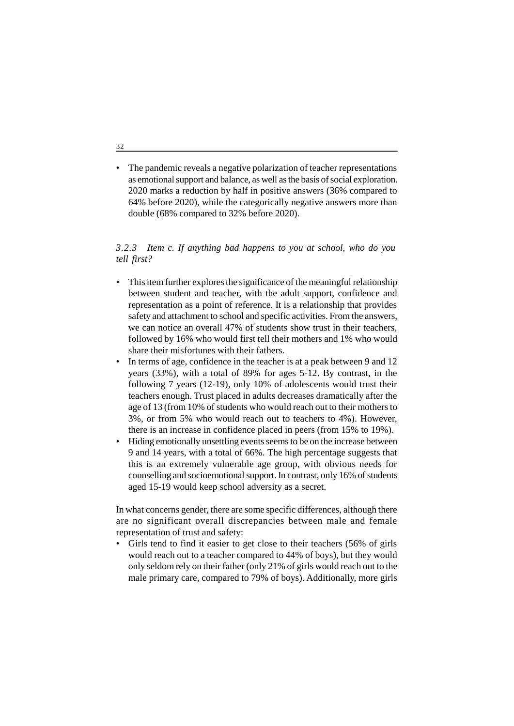• The pandemic reveals a negative polarization of teacher representations as emotional support and balance, as well as the basis of social exploration. 2020 marks a reduction by half in positive answers (36% compared to 64% before 2020), while the categorically negative answers more than double (68% compared to 32% before 2020).

#### *3.2.3 Item c. If anything bad happens to you at school, who do you tell first?*

- This item further explores the significance of the meaningful relationship between student and teacher, with the adult support, confidence and representation as a point of reference. It is a relationship that provides safety and attachment to school and specific activities. From the answers, we can notice an overall 47% of students show trust in their teachers, followed by 16% who would first tell their mothers and 1% who would share their misfortunes with their fathers.
- In terms of age, confidence in the teacher is at a peak between 9 and 12 years (33%), with a total of 89% for ages 5-12. By contrast, in the following 7 years (12-19), only 10% of adolescents would trust their teachers enough. Trust placed in adults decreases dramatically after the age of 13 (from 10% of students who would reach out to their mothers to 3%, or from 5% who would reach out to teachers to 4%). However, there is an increase in confidence placed in peers (from 15% to 19%).
- Hiding emotionally unsettling events seems to be on the increase between 9 and 14 years, with a total of 66%. The high percentage suggests that this is an extremely vulnerable age group, with obvious needs for counselling and socioemotional support. In contrast, only 16% of students aged 15-19 would keep school adversity as a secret.

In what concerns gender, there are some specific differences, although there are no significant overall discrepancies between male and female representation of trust and safety:

• Girls tend to find it easier to get close to their teachers (56% of girls would reach out to a teacher compared to 44% of boys), but they would only seldom rely on their father (only 21% of girls would reach out to the male primary care, compared to 79% of boys). Additionally, more girls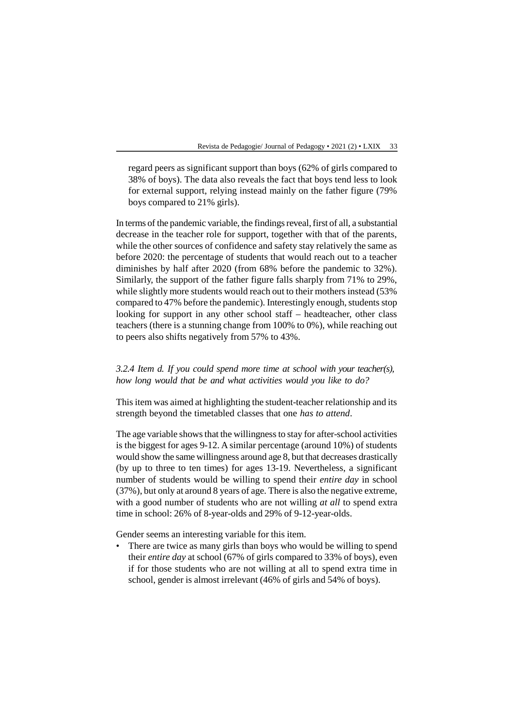regard peers as significant support than boys (62% of girls compared to 38% of boys). The data also reveals the fact that boys tend less to look for external support, relying instead mainly on the father figure (79% boys compared to 21% girls).

In terms of the pandemic variable, the findings reveal, first of all, a substantial decrease in the teacher role for support, together with that of the parents, while the other sources of confidence and safety stay relatively the same as before 2020: the percentage of students that would reach out to a teacher diminishes by half after 2020 (from 68% before the pandemic to 32%). Similarly, the support of the father figure falls sharply from 71% to 29%, while slightly more students would reach out to their mothers instead (53% compared to 47% before the pandemic). Interestingly enough, students stop looking for support in any other school staff – headteacher, other class teachers (there is a stunning change from 100% to 0%), while reaching out to peers also shifts negatively from 57% to 43%.

*3.2.4 Item d. If you could spend more time at school with your teacher(s), how long would that be and what activities would you like to do?*

This item was aimed at highlighting the student-teacher relationship and its strength beyond the timetabled classes that one *has to attend*.

The age variable shows that the willingness to stay for after-school activities is the biggest for ages 9-12. A similar percentage (around 10%) of students would show the same willingness around age 8, but that decreases drastically (by up to three to ten times) for ages 13-19. Nevertheless, a significant number of students would be willing to spend their *entire day* in school (37%), but only at around 8 years of age. There is also the negative extreme, with a good number of students who are not willing *at all* to spend extra time in school: 26% of 8-year-olds and 29% of 9-12-year-olds.

Gender seems an interesting variable for this item.

• There are twice as many girls than boys who would be willing to spend their *entire day* at school (67% of girls compared to 33% of boys), even if for those students who are not willing at all to spend extra time in school, gender is almost irrelevant (46% of girls and 54% of boys).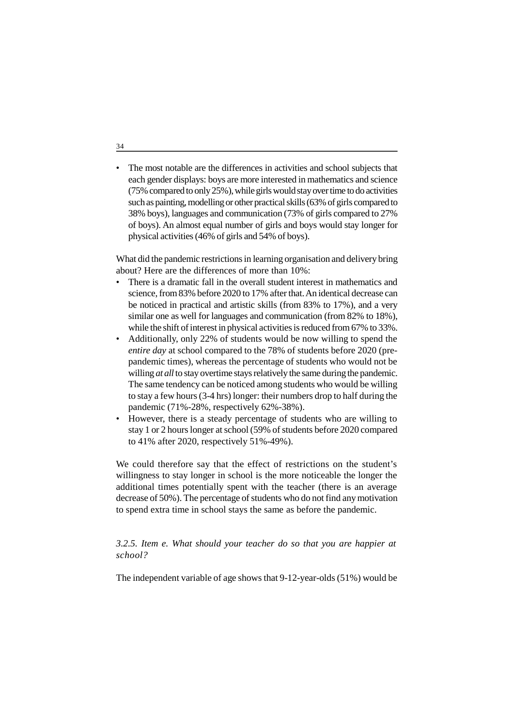• The most notable are the differences in activities and school subjects that each gender displays: boys are more interested in mathematics and science (75% compared to only 25%), while girls would stay over time to do activities such as painting, modelling or other practical skills (63% of girls compared to 38% boys), languages and communication (73% of girls compared to 27% of boys). An almost equal number of girls and boys would stay longer for physical activities (46% of girls and 54% of boys).

What did the pandemic restrictions in learning organisation and delivery bring about? Here are the differences of more than 10%:

- There is a dramatic fall in the overall student interest in mathematics and science, from 83% before 2020 to 17% after that. An identical decrease can be noticed in practical and artistic skills (from 83% to 17%), and a very similar one as well for languages and communication (from 82% to 18%), while the shift of interest in physical activities is reduced from 67% to 33%.
- Additionally, only 22% of students would be now willing to spend the *entire day* at school compared to the 78% of students before 2020 (prepandemic times), whereas the percentage of students who would not be willing *at all* to stay overtime stays relatively the same during the pandemic. The same tendency can be noticed among students who would be willing to stay a few hours (3-4 hrs) longer: their numbers drop to half during the pandemic (71%-28%, respectively 62%-38%).
- However, there is a steady percentage of students who are willing to stay 1 or 2 hours longer at school (59% of students before 2020 compared to 41% after 2020, respectively 51%-49%).

We could therefore say that the effect of restrictions on the student's willingness to stay longer in school is the more noticeable the longer the additional times potentially spent with the teacher (there is an average decrease of 50%). The percentage of students who do not find any motivation to spend extra time in school stays the same as before the pandemic.

#### *3.2.5. Item e. What should your teacher do so that you are happier at school?*

The independent variable of age shows that 9-12-year-olds (51%) would be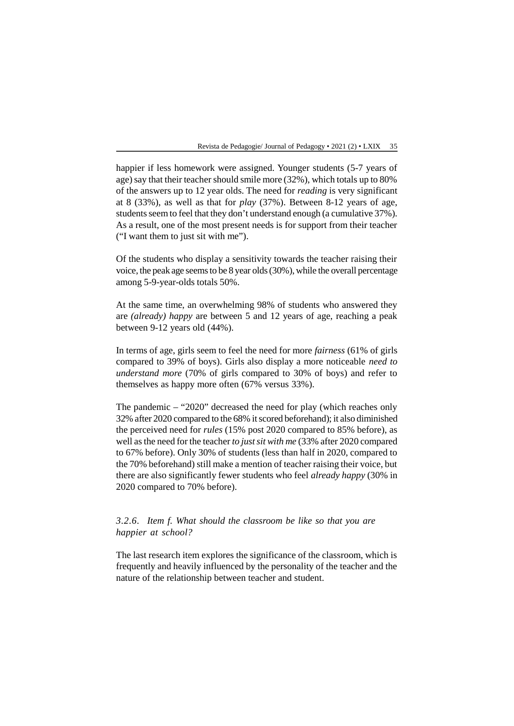happier if less homework were assigned. Younger students (5-7 years of age) say that their teacher should smile more (32%), which totals up to 80% of the answers up to 12 year olds. The need for *reading* is very significant at 8 (33%), as well as that for *play* (37%). Between 8-12 years of age, students seem to feel that they don't understand enough (a cumulative 37%). As a result, one of the most present needs is for support from their teacher ("I want them to just sit with me").

Of the students who display a sensitivity towards the teacher raising their voice, the peak age seems to be 8 year olds (30%), while the overall percentage among 5-9-year-olds totals 50%.

At the same time, an overwhelming 98% of students who answered they are *(already) happy* are between 5 and 12 years of age, reaching a peak between 9-12 years old (44%).

In terms of age, girls seem to feel the need for more *fairness* (61% of girls compared to 39% of boys). Girls also display a more noticeable *need to understand more* (70% of girls compared to 30% of boys) and refer to themselves as happy more often (67% versus 33%).

The pandemic – "2020" decreased the need for play (which reaches only 32% after 2020 compared to the 68% it scored beforehand); it also diminished the perceived need for *rules* (15% post 2020 compared to 85% before), as well as the need for the teacher *to just sit with me* (33% after 2020 compared to 67% before). Only 30% of students (less than half in 2020, compared to the 70% beforehand) still make a mention of teacher raising their voice, but there are also significantly fewer students who feel *already happy* (30% in 2020 compared to 70% before).

*3.2.6. Item f. What should the classroom be like so that you are happier at school?*

The last research item explores the significance of the classroom, which is frequently and heavily influenced by the personality of the teacher and the nature of the relationship between teacher and student.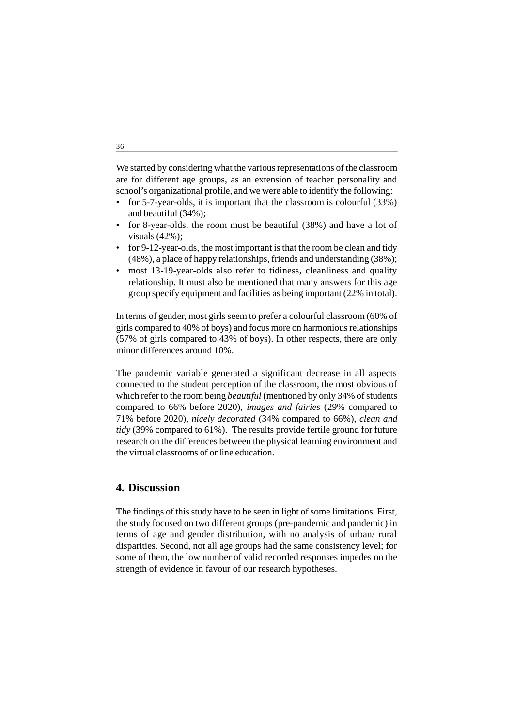We started by considering what the various representations of the classroom are for different age groups, as an extension of teacher personality and school's organizational profile, and we were able to identify the following:

- for 5-7-year-olds, it is important that the classroom is colourful (33%) and beautiful (34%);
- for 8-year-olds, the room must be beautiful (38%) and have a lot of visuals (42%);
- for 9-12-year-olds, the most important is that the room be clean and tidy (48%), a place of happy relationships, friends and understanding (38%);
- most 13-19-year-olds also refer to tidiness, cleanliness and quality relationship. It must also be mentioned that many answers for this age group specify equipment and facilities as being important (22% in total).

In terms of gender, most girls seem to prefer a colourful classroom (60% of girls compared to 40% of boys) and focus more on harmonious relationships (57% of girls compared to 43% of boys). In other respects, there are only minor differences around 10%.

The pandemic variable generated a significant decrease in all aspects connected to the student perception of the classroom, the most obvious of which refer to the room being *beautiful* (mentioned by only 34% of students compared to 66% before 2020), *images and fairies* (29% compared to 71% before 2020), *nicely decorated* (34% compared to 66%), *clean and tidy* (39% compared to 61%). The results provide fertile ground for future research on the differences between the physical learning environment and the virtual classrooms of online education.

# **4. Discussion**

The findings of this study have to be seen in light of some limitations. First, the study focused on two different groups (pre-pandemic and pandemic) in terms of age and gender distribution, with no analysis of urban/ rural disparities. Second, not all age groups had the same consistency level; for some of them, the low number of valid recorded responses impedes on the strength of evidence in favour of our research hypotheses.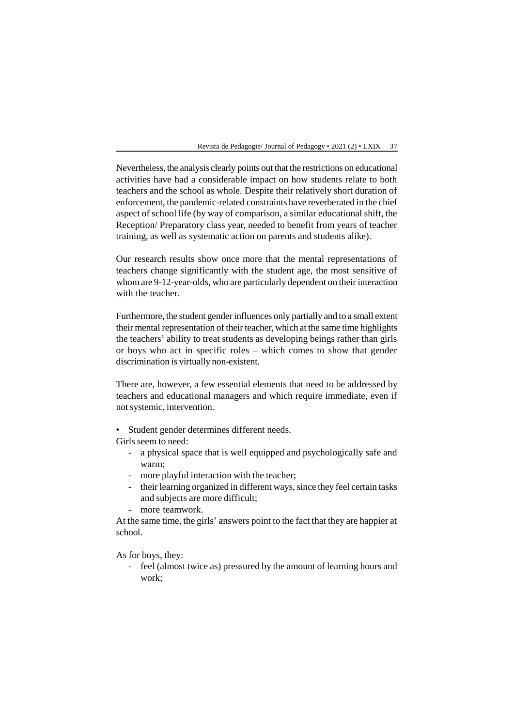Nevertheless, the analysis clearly points out that the restrictions on educational activities have had a considerable impact on how students relate to both teachers and the school as whole. Despite their relatively short duration of enforcement, the pandemic-related constraints have reverberated in the chief aspect of school life (by way of comparison, a similar educational shift, the Reception/ Preparatory class year, needed to benefit from years of teacher training, as well as systematic action on parents and students alike).

Our research results show once more that the mental representations of teachers change significantly with the student age, the most sensitive of whom are 9-12-year-olds, who are particularly dependent on their interaction with the teacher.

Furthermore, the student gender influences only partially and to a small extent their mental representation of their teacher, which at the same time highlights the teachers' ability to treat students as developing beings rather than girls or boys who act in specific roles – which comes to show that gender discrimination is virtually non-existent.

There are, however, a few essential elements that need to be addressed by teachers and educational managers and which require immediate, even if not systemic, intervention.

• Student gender determines different needs.

Girls seem to need:

- a physical space that is well equipped and psychologically safe and warm;
- more playful interaction with the teacher;
- their learning organized in different ways, since they feel certain tasks and subjects are more difficult;
- more teamwork.

At the same time, the girls' answers point to the fact that they are happier at school.

As for boys, they:

- feel (almost twice as) pressured by the amount of learning hours and work;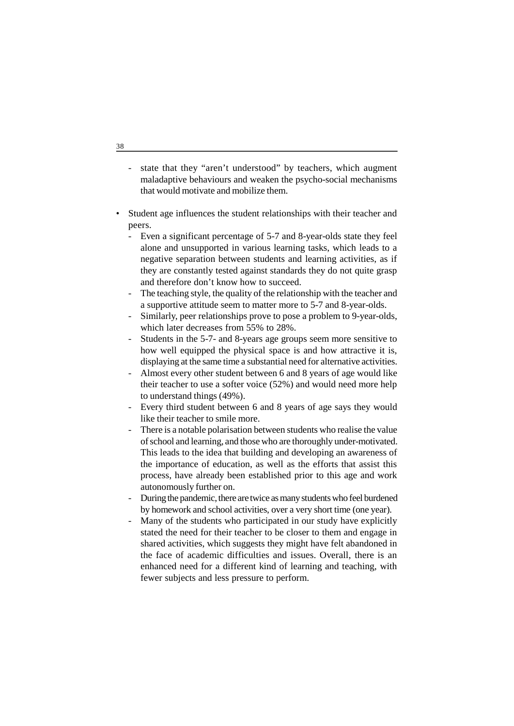- state that they "aren't understood" by teachers, which augment maladaptive behaviours and weaken the psycho-social mechanisms that would motivate and mobilize them.
- Student age influences the student relationships with their teacher and peers.
	- Even a significant percentage of 5-7 and 8-year-olds state they feel alone and unsupported in various learning tasks, which leads to a negative separation between students and learning activities, as if they are constantly tested against standards they do not quite grasp and therefore don't know how to succeed.
	- The teaching style, the quality of the relationship with the teacher and a supportive attitude seem to matter more to 5-7 and 8-year-olds.
	- Similarly, peer relationships prove to pose a problem to 9-year-olds, which later decreases from 55% to 28%.
	- Students in the 5-7- and 8-years age groups seem more sensitive to how well equipped the physical space is and how attractive it is, displaying at the same time a substantial need for alternative activities.
	- Almost every other student between 6 and 8 years of age would like their teacher to use a softer voice (52%) and would need more help to understand things (49%).
	- Every third student between 6 and 8 years of age says they would like their teacher to smile more.
	- There is a notable polarisation between students who realise the value of school and learning, and those who are thoroughly under-motivated. This leads to the idea that building and developing an awareness of the importance of education, as well as the efforts that assist this process, have already been established prior to this age and work autonomously further on.
	- During the pandemic, there are twice as many students who feel burdened by homework and school activities, over a very short time (one year).
	- Many of the students who participated in our study have explicitly stated the need for their teacher to be closer to them and engage in shared activities, which suggests they might have felt abandoned in the face of academic difficulties and issues. Overall, there is an enhanced need for a different kind of learning and teaching, with fewer subjects and less pressure to perform.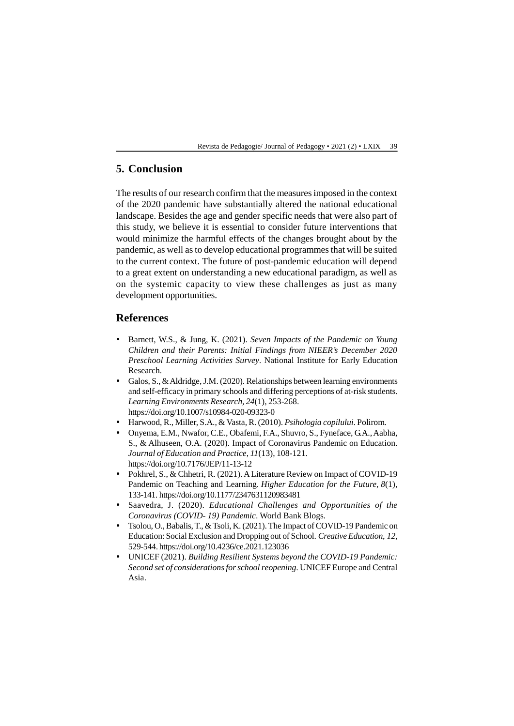# **5. Conclusion**

The results of our research confirm that the measures imposed in the context of the 2020 pandemic have substantially altered the national educational landscape. Besides the age and gender specific needs that were also part of this study, we believe it is essential to consider future interventions that would minimize the harmful effects of the changes brought about by the pandemic, as well as to develop educational programmes that will be suited to the current context. The future of post-pandemic education will depend to a great extent on understanding a new educational paradigm, as well as on the systemic capacity to view these challenges as just as many development opportunities.

# **References**

- Barnett, W.S., & Jung, K. (2021). *Seven Impacts of the Pandemic on Young Children and their Parents: Initial Findings from NIEER's December 2020 Preschool Learning Activities Survey*. National Institute for Early Education Research.
- Galos, S., & Aldridge, J.M. (2020). Relationships between learning environments and self-efficacy in primary schools and differing perceptions of at-risk students. *Learning Environments Research, 24*(1), 253-268. https://doi.org/10.1007/s10984-020-09323-0
- Harwood, R., Miller, S.A., & Vasta, R. (2010). *Psihologia copilului*. Polirom.
- Onyema, E.M., Nwafor, C.E., Obafemi, F.A., Shuvro, S., Fyneface, G.A., Aabha, S., & Alhuseen, O.A. (2020). Impact of Coronavirus Pandemic on Education. *Journal of Education and Practice*, *11*(13), 108-121. https://doi.org/10.7176/JEP/11-13-12
- Pokhrel, S., & Chhetri, R. (2021). A Literature Review on Impact of COVID-19 Pandemic on Teaching and Learning. *Higher Education for the Future*, *8*(1), 133-141. https://doi.org/10.1177/2347631120983481
- Saavedra, J. (2020). *Educational Challenges and Opportunities of the Coronavirus (COVID- 19) Pandemic*. World Bank Blogs.
- Tsolou, O., Babalis, T., & Tsoli, K. (2021). The Impact of COVID-19 Pandemic on Education: Social Exclusion and Dropping out of School. *Creative Education*, *12*, 529-544. https://doi.org/10.4236/ce.2021.123036
- UNICEF (2021). *Building Resilient Systems beyond the COVID-19 Pandemic: Second set of considerations for school reopening*. UNICEF Europe and Central Asia.